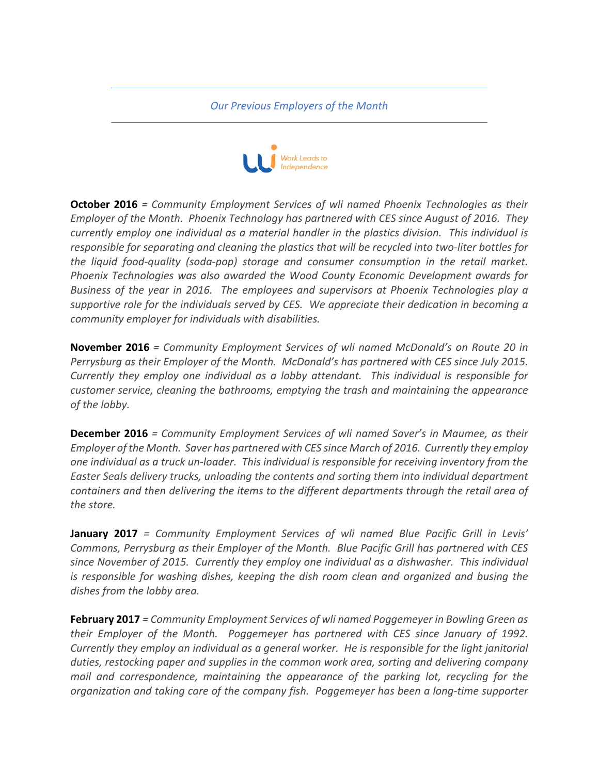*Our Previous Employers of the Month*



**October 2016** = Community Employment Services of wli named Phoenix Technologies as their *Employer of the Month. Phoenix Technology has partnered with CES since August of 2016. They currently employ one individual as a material handler in the plastics division. This individual is* responsible for separating and cleaning the plastics that will be recycled into two-liter bottles for *the liquid food-quality (soda-pop) storage and consumer consumption in the retail market. Phoenix Technologies was also awarded the Wood County Economic Development awards for Business of the year in 2016. The employees and supervisors at Phoenix Technologies play a* supportive role for the individuals served by CES. We appreciate their dedication in becoming a *community employer for individuals with disabilities.* 

**November 2016** = *Community Employment Services of wli named McDonald's on Route 20 in Perrysburg as their Employer of the Month. McDonald's has partnered with CES since July 2015. Currently they employ one individual as a lobby attendant. This individual is responsible for customer service, cleaning the bathrooms, emptying the trash and maintaining the appearance* of the lobby.

**December 2016** = *Community Employment Services of wli named Saver's in Maumee, as their Employer of the Month. Saver has partnered with CES since March of 2016. Currently they employ* one individual as a truck un-loader. This individual is responsible for receiving inventory from the Easter Seals delivery trucks, unloading the contents and sorting them into individual department *containers* and then delivering the items to the different departments through the retail area of the store.

**January 2017** = Community Employment Services of wli named Blue Pacific Grill in Levis' Commons, Perrysburg as their Employer of the Month. Blue Pacific Grill has partnered with CES since November of 2015. Currently they employ one individual as a dishwasher. This individual *is* responsible for washing dishes, keeping the dish room clean and organized and busing the dishes from the lobby area.

**February 2017** = *Community Employment Services of wli named Poggemeyer in Bowling Green as their Employer of the Month. Poggemeyer has partnered with CES since January of 1992. Currently they employ an individual as a general worker. He is responsible for the light janitorial* duties, restocking paper and supplies in the common work area, sorting and delivering company *mail* and correspondence, maintaining the appearance of the parking lot, recycling for the *organization* and taking care of the company fish. Poggemeyer has been a long-time supporter